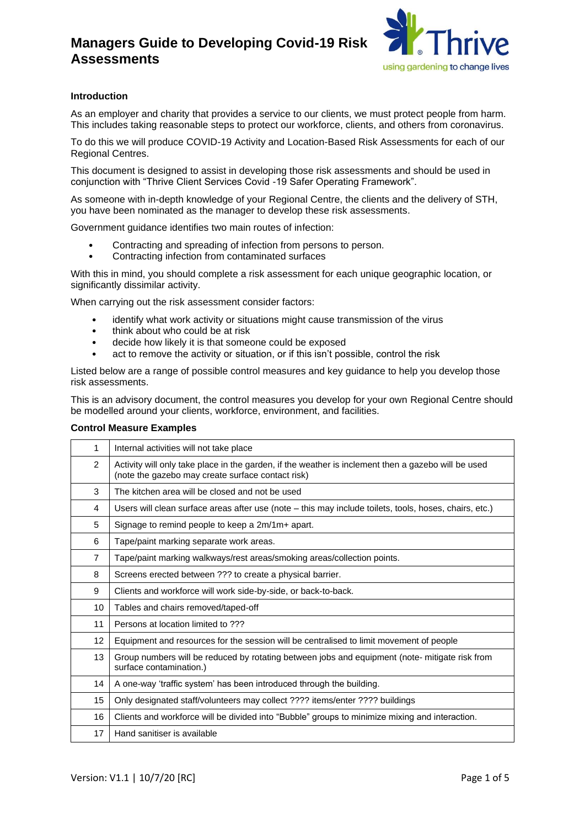

### **Introduction**

As an employer and charity that provides a service to our clients, we must protect people from harm. This includes taking reasonable steps to protect our workforce, clients, and others from coronavirus.

To do this we will produce COVID-19 Activity and Location-Based Risk Assessments for each of our Regional Centres.

This document is designed to assist in developing those risk assessments and should be used in conjunction with "Thrive Client Services Covid -19 Safer Operating Framework".

As someone with in-depth knowledge of your Regional Centre, the clients and the delivery of STH, you have been nominated as the manager to develop these risk assessments.

Government guidance identifies two main routes of infection:

- Contracting and spreading of infection from persons to person.
- Contracting infection from contaminated surfaces

With this in mind, you should complete a risk assessment for each unique geographic location, or significantly dissimilar activity.

When carrying out the risk assessment consider factors:

- identify what work activity or situations might cause transmission of the virus
- think about who could be at risk
- decide how likely it is that someone could be exposed
- act to remove the activity or situation, or if this isn't possible, control the risk

Listed below are a range of possible control measures and key guidance to help you develop those risk assessments.

This is an advisory document, the control measures you develop for your own Regional Centre should be modelled around your clients, workforce, environment, and facilities.

#### **Control Measure Examples**

| 1              | Internal activities will not take place                                                                                                                  |  |  |  |  |  |  |  |
|----------------|----------------------------------------------------------------------------------------------------------------------------------------------------------|--|--|--|--|--|--|--|
| 2              | Activity will only take place in the garden, if the weather is inclement then a gazebo will be used<br>(note the gazebo may create surface contact risk) |  |  |  |  |  |  |  |
| 3              | The kitchen area will be closed and not be used                                                                                                          |  |  |  |  |  |  |  |
| 4              | Users will clean surface areas after use (note – this may include toilets, tools, hoses, chairs, etc.)                                                   |  |  |  |  |  |  |  |
| 5              | Signage to remind people to keep a 2m/1m+ apart.                                                                                                         |  |  |  |  |  |  |  |
| 6              | Tape/paint marking separate work areas.                                                                                                                  |  |  |  |  |  |  |  |
| $\overline{7}$ | Tape/paint marking walkways/rest areas/smoking areas/collection points.                                                                                  |  |  |  |  |  |  |  |
| 8              | Screens erected between ??? to create a physical barrier.                                                                                                |  |  |  |  |  |  |  |
| 9              | Clients and workforce will work side-by-side, or back-to-back.                                                                                           |  |  |  |  |  |  |  |
| 10             | Tables and chairs removed/taped-off                                                                                                                      |  |  |  |  |  |  |  |
| 11             | Persons at location limited to ???                                                                                                                       |  |  |  |  |  |  |  |
| 12             | Equipment and resources for the session will be centralised to limit movement of people                                                                  |  |  |  |  |  |  |  |
| 13             | Group numbers will be reduced by rotating between jobs and equipment (note- mitigate risk from<br>surface contamination.)                                |  |  |  |  |  |  |  |
| 14             | A one-way 'traffic system' has been introduced through the building.                                                                                     |  |  |  |  |  |  |  |
| 15             | Only designated staff/volunteers may collect ???? items/enter ???? buildings                                                                             |  |  |  |  |  |  |  |
| 16             | Clients and workforce will be divided into "Bubble" groups to minimize mixing and interaction.                                                           |  |  |  |  |  |  |  |
| 17             | Hand sanitiser is available                                                                                                                              |  |  |  |  |  |  |  |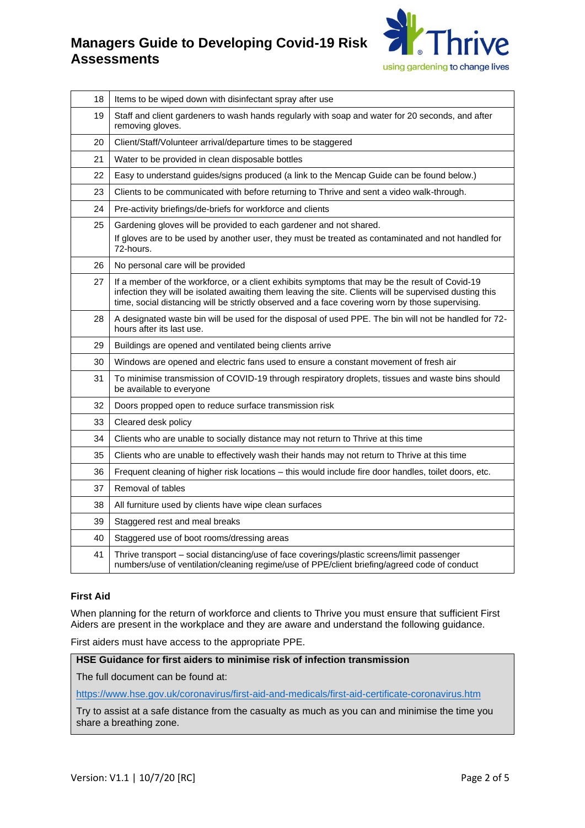

| 18 | Items to be wiped down with disinfectant spray after use                                                                                                                                                                                                                                                      |  |  |  |  |  |
|----|---------------------------------------------------------------------------------------------------------------------------------------------------------------------------------------------------------------------------------------------------------------------------------------------------------------|--|--|--|--|--|
| 19 | Staff and client gardeners to wash hands regularly with soap and water for 20 seconds, and after<br>removing gloves.                                                                                                                                                                                          |  |  |  |  |  |
| 20 | Client/Staff/Volunteer arrival/departure times to be staggered                                                                                                                                                                                                                                                |  |  |  |  |  |
| 21 | Water to be provided in clean disposable bottles                                                                                                                                                                                                                                                              |  |  |  |  |  |
| 22 | Easy to understand guides/signs produced (a link to the Mencap Guide can be found below.)                                                                                                                                                                                                                     |  |  |  |  |  |
| 23 | Clients to be communicated with before returning to Thrive and sent a video walk-through.                                                                                                                                                                                                                     |  |  |  |  |  |
| 24 | Pre-activity briefings/de-briefs for workforce and clients                                                                                                                                                                                                                                                    |  |  |  |  |  |
| 25 | Gardening gloves will be provided to each gardener and not shared.<br>If gloves are to be used by another user, they must be treated as contaminated and not handled for<br>72-hours.                                                                                                                         |  |  |  |  |  |
| 26 | No personal care will be provided                                                                                                                                                                                                                                                                             |  |  |  |  |  |
| 27 | If a member of the workforce, or a client exhibits symptoms that may be the result of Covid-19<br>infection they will be isolated awaiting them leaving the site. Clients will be supervised dusting this<br>time, social distancing will be strictly observed and a face covering worn by those supervising. |  |  |  |  |  |
| 28 | A designated waste bin will be used for the disposal of used PPE. The bin will not be handled for 72-<br>hours after its last use.                                                                                                                                                                            |  |  |  |  |  |
| 29 | Buildings are opened and ventilated being clients arrive                                                                                                                                                                                                                                                      |  |  |  |  |  |
| 30 | Windows are opened and electric fans used to ensure a constant movement of fresh air                                                                                                                                                                                                                          |  |  |  |  |  |
| 31 | To minimise transmission of COVID-19 through respiratory droplets, tissues and waste bins should<br>be available to everyone                                                                                                                                                                                  |  |  |  |  |  |
| 32 | Doors propped open to reduce surface transmission risk                                                                                                                                                                                                                                                        |  |  |  |  |  |
| 33 | Cleared desk policy                                                                                                                                                                                                                                                                                           |  |  |  |  |  |
| 34 | Clients who are unable to socially distance may not return to Thrive at this time                                                                                                                                                                                                                             |  |  |  |  |  |
| 35 | Clients who are unable to effectively wash their hands may not return to Thrive at this time                                                                                                                                                                                                                  |  |  |  |  |  |
| 36 | Frequent cleaning of higher risk locations - this would include fire door handles, toilet doors, etc.                                                                                                                                                                                                         |  |  |  |  |  |
| 37 | Removal of tables                                                                                                                                                                                                                                                                                             |  |  |  |  |  |
| 38 | All furniture used by clients have wipe clean surfaces                                                                                                                                                                                                                                                        |  |  |  |  |  |
| 39 | Staggered rest and meal breaks                                                                                                                                                                                                                                                                                |  |  |  |  |  |
| 40 | Staggered use of boot rooms/dressing areas                                                                                                                                                                                                                                                                    |  |  |  |  |  |
| 41 | Thrive transport - social distancing/use of face coverings/plastic screens/limit passenger<br>numbers/use of ventilation/cleaning regime/use of PPE/client briefing/agreed code of conduct                                                                                                                    |  |  |  |  |  |

#### **First Aid**

When planning for the return of workforce and clients to Thrive you must ensure that sufficient First Aiders are present in the workplace and they are aware and understand the following guidance.

First aiders must have access to the appropriate PPE.

#### **HSE Guidance for first aiders to minimise risk of infection transmission**

The full document can be found at:

<https://www.hse.gov.uk/coronavirus/first-aid-and-medicals/first-aid-certificate-coronavirus.htm>

Try to assist at a safe distance from the casualty as much as you can and minimise the time you share a breathing zone.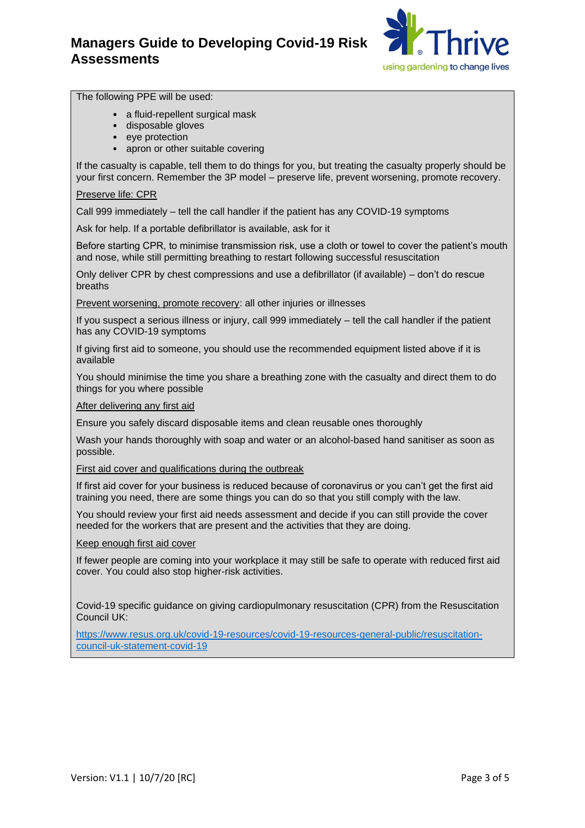

#### The following PPE will be used:

- a fluid-repellent surgical mask
- disposable gloves
- eye protection
- apron or other suitable covering

If the casualty is capable, tell them to do things for you, but treating the casualty properly should be your first concern. Remember the 3P model – preserve life, prevent worsening, promote recovery.

#### Preserve life: CPR

Call 999 immediately – tell the call handler if the patient has any COVID-19 symptoms

Ask for help. If a portable defibrillator is available, ask for it

Before starting CPR, to minimise transmission risk, use a cloth or towel to cover the patient's mouth and nose, while still permitting breathing to restart following successful resuscitation

Only deliver CPR by chest compressions and use a defibrillator (if available) – don't do rescue breaths

Prevent worsening, promote recovery: all other injuries or illnesses

If you suspect a serious illness or injury, call 999 immediately – tell the call handler if the patient has any COVID-19 symptoms

If giving first aid to someone, you should use the recommended equipment listed above if it is available

You should minimise the time you share a breathing zone with the casualty and direct them to do things for you where possible

After delivering any first aid

Ensure you safely discard disposable items and clean reusable ones thoroughly

Wash your hands thoroughly with soap and water or an alcohol-based hand sanitiser as soon as possible.

First aid cover and qualifications during the outbreak

If first aid cover for your business is reduced because of coronavirus or you can't get the first aid training you need, there are some things you can do so that you still comply with the law.

You should review your first aid needs assessment and decide if you can still provide the cover needed for the workers that are present and the activities that they are doing.

Keep enough first aid cover

If fewer people are coming into your workplace it may still be safe to operate with reduced first aid cover. You could also stop higher-risk activities.

Covid-19 specific guidance on giving cardiopulmonary resuscitation (CPR) from the Resuscitation Council UK:

[https://www.resus.org.uk/covid-19-resources/covid-19-resources-general-public/resuscitation](https://www.resus.org.uk/covid-19-resources/covid-19-resources-general-public/resuscitation-council-uk-statement-covid-19)[council-uk-statement-covid-19](https://www.resus.org.uk/covid-19-resources/covid-19-resources-general-public/resuscitation-council-uk-statement-covid-19)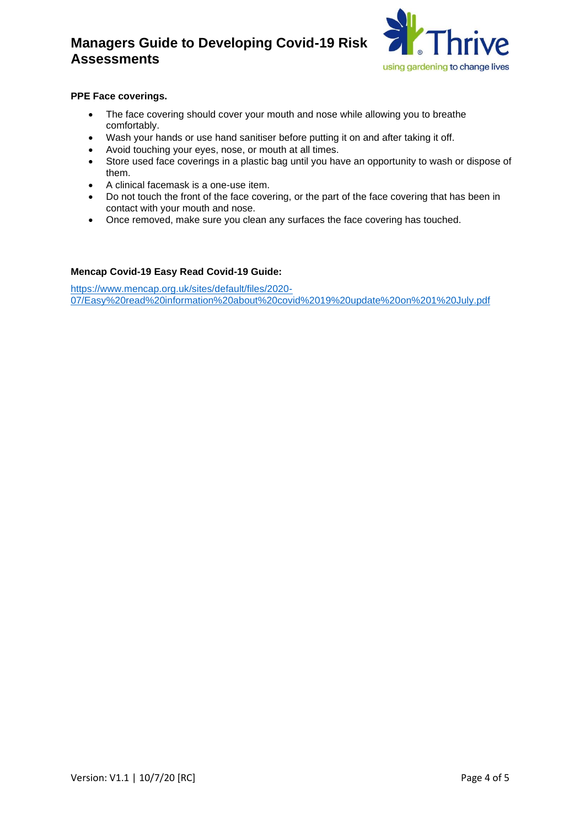

### **PPE Face coverings.**

- The face covering should cover your mouth and nose while allowing you to breathe comfortably.
- Wash your hands or use hand sanitiser before putting it on and after taking it off.
- Avoid touching your eyes, nose, or mouth at all times.
- Store used face coverings in a plastic bag until you have an opportunity to wash or dispose of them.
- A clinical facemask is a one-use item.
- Do not touch the front of the face covering, or the part of the face covering that has been in contact with your mouth and nose.
- Once removed, make sure you clean any surfaces the face covering has touched.

#### **Mencap Covid-19 Easy Read Covid-19 Guide:**

[https://www.mencap.org.uk/sites/default/files/2020-](https://www.mencap.org.uk/sites/default/files/2020-07/Easy%20read%20information%20about%20covid%2019%20update%20on%201%20July.pdf) [07/Easy%20read%20information%20about%20covid%2019%20update%20on%201%20July.pdf](https://www.mencap.org.uk/sites/default/files/2020-07/Easy%20read%20information%20about%20covid%2019%20update%20on%201%20July.pdf)